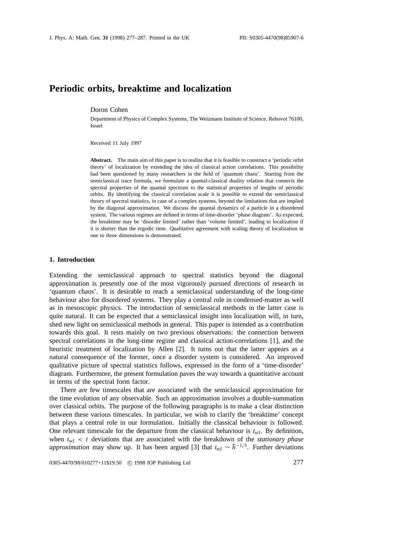# **Periodic orbits, breaktime and localization**

Doron Cohen

Department of Physics of Complex Systems, The Weizmann Institute of Science, Rehovot 76100, Israel

Received 11 July 1997

**Abstract.** The main aim of this paper is to realize that it is feasible to construct a 'periodic orbit theory' of localization by extending the idea of classical action correlations. This possibility had been questioned by many researchers in the field of 'quantum chaos'. Starting from the semiclassical trace formula, we formulate a quantal-classical duality relation that connects the spectral properties of the quantal spectrum to the statistical properties of lengths of periodic orbits. By identifying the classical correlation scale it is possible to extend the semiclassical theory of spectral statistics, in case of a complex systems, beyond the limitations that are implied by the diagonal approximation. We discuss the quantal dynamics of a particle in a disordered system. The various regimes are defined in terms of time-disorder 'phase diagram'. As expected, the breaktime may be 'disorder limited' rather than 'volume limited', leading to localization if it is shorter than the ergodic time. Qualitative agreement with scaling theory of localization in one to three dimensions is demonstrated.

#### **1. Introduction**

Extending the semiclassical approach to spectral statistics beyond the diagonal approximation is presently one of the most vigorously pursued directions of research in 'quantum chaos'. It is desirable to reach a semiclassical understanding of the long-time behaviour also for disordered systems. They play a central role in condensed-matter as well as in mesoscopic physics. The introduction of semiclassical methods in the latter case is quite natural. It can be expected that a semiclassical insight into localization will, in turn, shed new light on semiclassical methods in general. This paper is intended as a contribution towards this goal. It rests mainly on two previous observations: the connection between spectral correlations in the long-time regime and classical action-correlations [1], and the heuristic treatment of localization by Allen [2]. It turns out that the latter appears as a natural consequence of the former, once a disorder system is considered. An improved qualitative picture of spectral statistics follows, expressed in the form of a 'time-disorder' diagram. Furthermore, the present formulation paves the way towards a quantitative account in terms of the spectral form factor.

There are few timescales that are associated with the semiclassical approximation for the time evolution of any observable. Such an approximation involves a double-summation over classical orbits. The purpose of the following paragraphs is to make a clear distinction between these various timescales. In particular, we wish to clarify the 'breaktime' concept that plays a central role in our formulation. Initially the classical behaviour is followed. One relevant timescale for the departure from the classical behaviour is  $t_{\text{sc}}$ . By definition, when  $t_{\text{sel}} < t$  deviations that are associated with the breakdown of the *stationary phase approximation* may show up. It has been argued [3] that  $t_{\text{scl}} \sim \hbar^{-1/3}$ . Further deviations

0305-4470/98/010277+11\$19.50 © 1998 IOP Publishing Ltd 277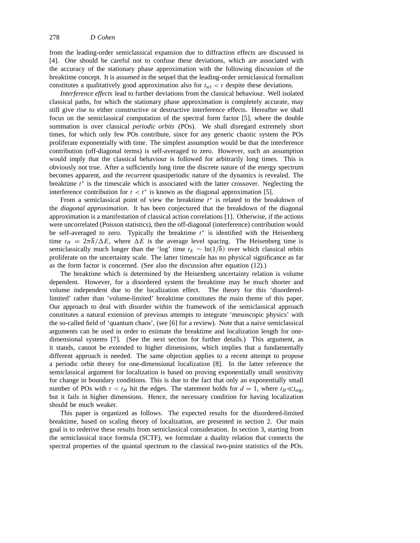from the leading-order semiclassical expansion due to diffraction effects are discussed in [4]. One should be careful not to confuse these deviations, which are associated with the accuracy of the stationary phase approximation with the following discussion of the breaktime concept. It is assumed in the sequel that the leading-order semiclassical formalism constitutes a qualitatively good approximation also for  $t_{\text{sc}} < t$  despite these deviations.

*Interference effects* lead to further deviations from the classical behaviour. Well isolated classical paths, for which the stationary phase approximation is completely accurate, may still give rise to either constructive or destructive interference effects. Hereafter we shall focus on the semiclassical computation of the spectral form factor [5], where the double summation is over classical *periodic orbits* (POs). We shall disregard extremely short times, for which only few POs contribute, since for any generic chaotic system the POs proliferate exponentially with time. The simplest assumption would be that the interference contribution (off-diagonal terms) is self-averaged to zero. However, such an assumption would imply that the classical behaviour is followed for arbitrarily long times. This is obviously not true. After a sufficiently long time the discrete nature of the energy spectrum becomes apparent, and the *recurrent* quasiperiodic nature of the dynamics is revealed. The breaktime *t*<sup>∗</sup> is the timescale which is associated with the latter crossover. Neglecting the interference contribution for  $t < t^*$  is known as the diagonal approximation [5].

From a semiclassical point of view the breaktime *t*<sup>∗</sup> is related to the breakdown of the *diagonal approximation*. It has been conjectured that the breakdown of the diagonal approximation is a manifestation of classical action correlations [1]. Otherwise, if the actions were uncorrelated (Poisson statistics), then the off-diagonal (interference) contribution would be self-averaged to zero. Typically the breaktime *t*<sup>∗</sup> is identified with the Heisenberg time  $t_H = 2\pi\hbar/\Delta E$ , where  $\Delta E$  is the average level spacing. The Heisenberg time is semiclassically much longer than the 'log' time  $t_E \sim \ln(1/\hbar)$  over which classical orbits proliferate on the uncertainty scale. The latter timescale has no physical significance as far as the form factor is concerned. (See also the discussion after equation (12).)

The breaktime which is determined by the Heisenberg uncertainty relation is volume dependent. However, for a disordered system the breaktime may be much shorter and volume independent due to the localization effect. The theory for this 'disorderedlimited' rather than 'volume-limited' breaktime constitutes the main theme of this paper. Our approach to deal with disorder within the framework of the semiclassical approach constitutes a natural extension of previous attempts to integrate 'mesoscopic physics' with the so-called field of 'quantum chaos', (see [6] for a review). Note that a naive semiclassical arguments can be used in order to estimate the breaktime and localization length for onedimensional systems [7]. (See the next section for further details.) This argument, as it stands, cannot be extended to higher dimensions, which implies that a fundamentally different approach is needed. The same objection applies to a recent attempt to propose a periodic orbit theory for one-dimensional localization [8]. In the latter reference the semiclassical argument for localization is based on proving exponentially small sensitivity for change in boundary conditions. This is due to the fact that only an exponentially small number of POs with  $t < t_H$  hit the edges. The statement holds for  $d = 1$ , where  $t_H \ll t_{\text{ere}}$ , but it fails in higher dimensions. Hence, the necessary condition for having localization should be much weaker.

This paper is organized as follows. The expected results for the disordered-limited breaktime, based on scaling theory of localization, are presented in section 2. Our main goal is to rederive these results from semiclassical consideration. In section 3, starting from the semiclassical trace formula (SCTF), we formulate a duality relation that connects the spectral properties of the quantal spectrum to the classical two-point statistics of the POs.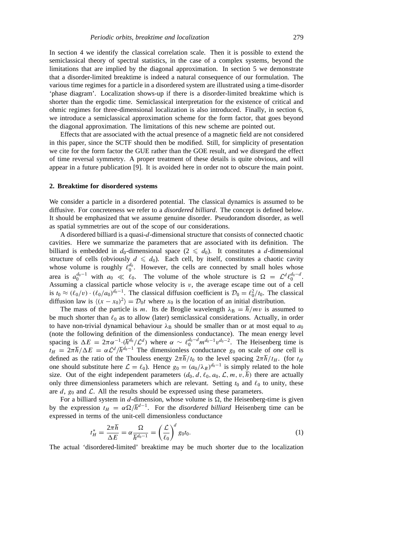In section 4 we identify the classical correlation scale. Then it is possible to extend the semiclassical theory of spectral statistics, in the case of a complex systems, beyond the limitations that are implied by the diagonal approximation. In section 5 we demonstrate that a disorder-limited breaktime is indeed a natural consequence of our formulation. The various time regimes for a particle in a disordered system are illustrated using a time-disorder 'phase diagram'. Localization shows-up if there is a disorder-limited breaktime which is shorter than the ergodic time. Semiclassical interpretation for the existence of critical and ohmic regimes for three-dimensional localization is also introduced. Finally, in section 6, we introduce a semiclassical approximation scheme for the form factor, that goes beyond the diagonal approximation. The limitations of this new scheme are pointed out.

Effects that are associated with the actual presence of a magnetic field are not considered in this paper, since the SCTF should then be modified. Still, for simplicity of presentation we cite for the form factor the GUE rather than the GOE result, and we disregard the effect of time reversal symmetry. A proper treatment of these details is quite obvious, and will appear in a future publication [9]. It is avoided here in order not to obscure the main point.

#### **2. Breaktime for disordered systems**

We consider a particle in a disordered potential. The classical dynamics is assumed to be diffusive. For concreteness we refer to a *disordered billiard*. The concept is defined below. It should be emphasized that we assume genuine disorder. Pseudorandom disorder, as well as spatial symmetries are out of the scope of our considerations.

A disordered billiard is a quasi-*d*-dimensional structure that consists of connected chaotic cavities. Here we summarize the parameters that are associated with its definition. The billiard is embedded in  $d_0$ -dimensional space  $(2 \leq d_0)$ . It constitutes a *d*-dimensional structure of cells (obviously  $d \leq d_0$ ). Each cell, by itself, constitutes a chaotic cavity whose volume is roughly  $\ell_0^{\dot{d}_0}$ . However, the cells are connected by small holes whose area is  $a_0^{d_0-1}$  with  $a_0 \ll \ell_0$ . The volume of the whole structure is  $\Omega = \mathcal{L}^d \ell_0^{d_0-d}$ . Assuming a classical particle whose velocity is  $v$ , the average escape time out of a cell is  $t_0 \approx (\ell_0/v) \cdot (\ell_0/a_0)^{d_0-1}$ . The classical diffusion coefficient is  $\mathcal{D}_0 = \ell_0^2/t_0$ . The classical diffusion law is  $\langle (x - x_0)^2 \rangle = \mathcal{D}_0 t$  where  $x_0$  is the location of an initial distribution.

The mass of the particle is *m*. Its de Broglie wavelength  $\lambda_B = h/mv$  is assumed to be much shorter than  $\ell_0$  as to allow (later) semiclassical considerations. Actually, in order to have non-trivial dynamical behaviour  $\lambda_B$  should be smaller than or at most equal to  $a_0$ (note the following definition of the dimensionless conductance). The mean energy level spacing is  $\Delta E = 2\pi \alpha^{-1} \cdot (\hbar^{d_0}/\mathcal{L}^d)$  where  $\alpha \sim \ell_0^{d_0-d} m^{d_0-1} v^{d_0-2}$ . The Heisenberg time is  $t_H = 2\pi\hbar/\Delta E = \alpha \mathcal{L}^d/\hbar^{d_0-1}$  The dimensionless conductance *g*<sub>0</sub> on scale of *one* cell is defined as the ratio of the Thouless energy  $2\pi\hbar/t_0$  to the level spacing  $2\pi\hbar/t_H$ . (for  $t_H$ one should substitute here  $\mathcal{L} = \ell_0$ ). Hence  $g_0 = (a_0/\lambda_B)^{d_0-1}$  is simply related to the hole size. Out of the eight independent parameters  $(d_0, d, \ell_0, a_0, \mathcal{L}, m, v, \hbar)$  there are actually only three dimensionless parameters which are relevant. Setting  $t_0$  and  $\ell_0$  to unity, these are  $d$ ,  $g_0$  and  $\mathcal{L}$ . All the results should be expressed using these parameters.

For a billiard system in  $d$ -dimension, whose volume is  $\Omega$ , the Heisenberg-time is given by the expression  $t_H = \alpha \Omega / \hbar^{d-1}$ . For the *disordered billiard* Heisenberg time can be expressed in terms of the unit-cell dimensionless conductance

$$
t_H^* = \frac{2\pi\hbar}{\Delta E} = \alpha \frac{\Omega}{\hbar^{d_0 - 1}} = \left(\frac{\mathcal{L}}{\ell_0}\right)^d g_0 t_0.
$$
 (1)

The actual 'disordered-limited' breaktime may be much shorter due to the localization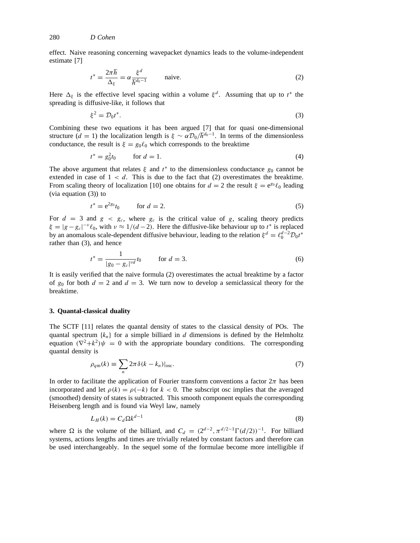effect. Naive reasoning concerning wavepacket dynamics leads to the volume-independent estimate [7]

$$
t^* = \frac{2\pi\hbar}{\Delta_{\xi}} = \alpha \frac{\xi^d}{\hbar^{d_0 - 1}} \quad \text{naive.} \tag{2}
$$

Here  $\Delta_{\xi}$  is the effective level spacing within a volume  $\xi^{d}$ . Assuming that up to  $t^*$  the spreading is diffusive-like, it follows that

$$
\xi^2 = \mathcal{D}_0 t^*.\tag{3}
$$

Combining these two equations it has been argued [7] that for quasi one-dimensional structure  $(d = 1)$  the localization length is  $\xi \sim \alpha \mathcal{D}_0 / \hbar^{d_0 - 1}$ . In terms of the dimensionless conductance, the result is  $\xi = g_0 \ell_0$  which corresponds to the breaktime

$$
t^* = g_0^2 t_0 \qquad \text{for } d = 1.
$$
 (4)

The above argument that relates  $\xi$  and  $t^*$  to the dimensionless conductance  $g_0$  cannot be extended in case of  $1 < d$ . This is due to the fact that  $(2)$  overestimates the breaktime. From scaling theory of localization [10] one obtains for  $d = 2$  the result  $\xi = e^{g_0} \ell_0$  leading (via equation (3)) to

$$
t^* = e^{2g_0} t_0 \qquad \text{for } d = 2.
$$
 (5)

For  $d = 3$  and  $g < g_c$ , where  $g_c$  is the critical value of g, scaling theory predicts  $\xi = |g - g_c|^{-\nu} \ell_0$ , with  $\nu \approx 1/(d-2)$ . Here the diffusive-like behaviour up to  $t^*$  is replaced by an anomalous scale-dependent diffusive behaviour, leading to the relation  $\xi^d = \ell_0^{d-2} \mathcal{D}_0 t^*$ rather than (3), and hence

$$
t^* = \frac{1}{|g_0 - g_c|^{vd}} t_0 \qquad \text{for } d = 3.
$$
 (6)

It is easily verified that the naive formula (2) overestimates the actual breaktime by a factor of  $g_0$  for both  $d = 2$  and  $d = 3$ . We turn now to develop a semiclassical theory for the breaktime.

#### **3. Quantal-classical duality**

The SCTF [11] relates the quantal density of states to the classical density of POs. The quantal spectrum  ${k_n}$  for a simple billiard in *d* dimensions is defined by the Helmholtz equation  $(\nabla^2 + k^2)\psi = 0$  with the appropriate boundary conditions. The corresponding quantal density is

$$
\rho_{qm}(k) \equiv \sum_{n} 2\pi \delta(k - k_n)|_{\text{osc}}.\tag{7}
$$

In order to facilitate the application of Fourier transform conventions a factor  $2\pi$  has been incorporated and let  $\rho(k) = \rho(-k)$  for  $k < 0$ . The subscript osc implies that the averaged (smoothed) density of states is subtracted. This smooth component equals the corresponding Heisenberg length and is found via Weyl law, namely

$$
L_H(k) = C_d \Omega k^{d-1} \tag{8}
$$

where  $\Omega$  is the volume of the billiard, and  $C_d = (2^{d-2}, \pi^{d/2-1} \Gamma(d/2))^{-1}$ . For billiard systems, actions lengths and times are trivially related by constant factors and therefore can be used interchangeably. In the sequel some of the formulae become more intelligible if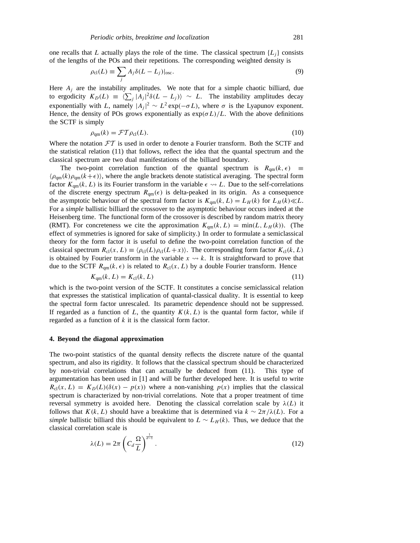one recalls that *L* actually plays the role of the time. The classical spectrum  $\{L_i\}$  consists of the lengths of the POs and their repetitions. The corresponding weighted density is

$$
\rho_{\rm cl}(L) \equiv \sum_j A_j \delta(L - L_j)|_{\rm osc}.\tag{9}
$$

Here  $A_j$  are the instability amplitudes. We note that for a simple chaotic billiard, due to ergodicity  $K_D(L) \equiv \langle \sum_j |A_j|^2 \delta(L - L_j) \rangle \sim L$ . The instability amplitudes decay exponentially with *L*, namely  $|A_j|^2 \sim L^2 \exp(-\sigma L)$ , where  $\sigma$  is the Lyapunov exponent. Hence, the density of POs grows exponentially as  $\exp(\sigma L)/L$ . With the above definitions the SCTF is simply

$$
\rho_{qm}(k) = \mathcal{FT}\rho_{cl}(L). \tag{10}
$$

Where the notation  $FT$  is used in order to denote a Fourier transform. Both the SCTF and the statistical relation (11) that follows, reflect the idea that the quantal spectrum and the classical spectrum are two dual manifestations of the billiard boundary.

The two-point correlation function of the quantal spectrum is  $R_{qm}(k, \epsilon) \equiv$  $\langle \rho_{\rm qm}(k)\rho_{\rm qm}(k+\epsilon) \rangle$ , where the angle brackets denote statistical averaging. The spectral form factor  $K_{qm}(k, L)$  is its Fourier transform in the variable  $\epsilon \rightarrow L$ . Due to the self-correlations of the discrete energy spectrum  $R_{\text{qm}}(\epsilon)$  is delta-peaked in its origin. As a consequence the asymptotic behaviour of the spectral form factor is  $K_{qm}(k, L) = L_H(k)$  for  $L_H(k) \ll L$ . For a *simple* ballistic billiard the crossover to the asymptotic behaviour occurs indeed at the Heisenberg time. The functional form of the crossover is described by random matrix theory (RMT). For concreteness we cite the approximation  $K_{qm}(k, L) = min(L, L_H(k))$ . (The effect of symmetries is ignored for sake of simplicity.) In order to formulate a semiclassical theory for the form factor it is useful to define the two-point correlation function of the classical spectrum  $R_{cl}(x, L) \equiv \langle \rho_{cl}(L)\rho_{cl}(L+x) \rangle$ . The corresponding form factor  $K_{cl}(k, L)$ is obtained by Fourier transform in the variable  $x \leftrightarrow k$ . It is straightforward to prove that due to the SCTF  $R_{qm}(k, \epsilon)$  is related to  $R_{cl}(x, L)$  by a double Fourier transform. Hence

$$
K_{\rm qm}(k, L) = K_{\rm cl}(k, L) \tag{11}
$$

which is the two-point version of the SCTF. It constitutes a concise semiclassical relation that expresses the statistical implication of quantal-classical duality. It is essential to keep the spectral form factor unrescaled. Its parametric dependence should not be suppressed. If regarded as a function of  $L$ , the quantity  $K(k, L)$  is the quantal form factor, while if regarded as a function of *k* it is the classical form factor.

## **4. Beyond the diagonal approximation**

The two-point statistics of the quantal density reflects the discrete nature of the quantal spectrum, and also its rigidity. It follows that the classical spectrum should be characterized by non-trivial correlations that can actually be deduced from (11). This type of argumentation has been used in [1] and will be further developed here. It is useful to write  $R_{\rm cl}(x, L) = K_D(L)(\delta(x) - p(x))$  where a non-vanishing  $p(x)$  implies that the classical spectrum is characterized by non-trivial correlations. Note that a proper treatment of time reversal symmetry is avoided here. Denoting the classical correlation scale by  $\lambda(L)$  it follows that  $K(k, L)$  should have a breaktime that is determined via  $k \sim 2\pi/\lambda(L)$ . For a *simple* ballistic billiard this should be equivalent to  $L \sim L_H(k)$ . Thus, we deduce that the classical correlation scale is

$$
\lambda(L) = 2\pi \left( C_d \frac{\Omega}{L} \right)^{\frac{1}{d-1}}.
$$
\n(12)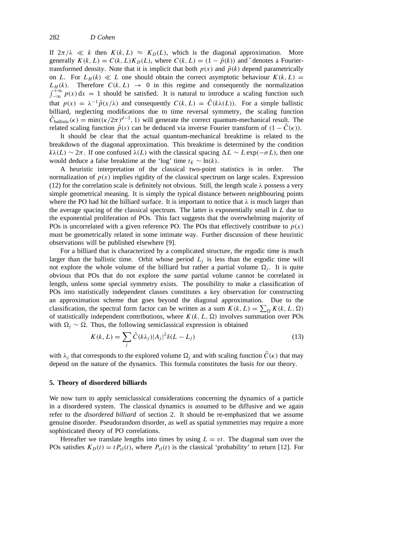If  $2\pi/\lambda \ll k$  then  $K(k, L) \approx K_D(L)$ , which is the diagonal approximation. More generally  $K(k, L) = C(k, L)K_D(L)$ , where  $C(k, L) = (1 - \tilde{p}(k))$  and  $\tilde{C}$  denotes a Fouriertransformed density. Note that it is implicit that both  $p(x)$  and  $\tilde{p}(k)$  depend parametrically on *L*. For  $L_H(k) \ll L$  one should obtain the correct asymptotic behaviour  $K(k, L) =$  $L_H(k)$ . Therefore  $C(k, L) \rightarrow 0$  in this regime and consequently the normalization  $\int_{-\infty}^{+\infty} p(x) dx = 1$  should be satisfied. It is natural to introduce a scaling function such that  $p(x) = \lambda^{-1} \hat{p}(x/\lambda)$  and consequently  $C(k, L) = \hat{C}(k\lambda(L))$ . For a simple ballistic billiard, neglecting modifications due to time reversal symmetry, the scaling function  $\hat{C}_{\text{ballistic}}(\kappa) = \min((\kappa/2\pi)^{d-1}, 1)$  will generate the correct quantum-mechanical result. The related scaling function  $\hat{p}(s)$  can be deduced via inverse Fourier transform of  $(1 - \hat{C}(\kappa))$ .

It should be clear that the actual quantum-mechanical breaktime is related to the breakdown of the diagonal approximation. This breaktime is determined by the condition  $k\lambda(L) \sim 2\pi$ . If one confused  $\lambda(L)$  with the classical spacing  $\Delta L \sim L \exp(-\sigma L)$ , then one would deduce a false breaktime at the 'log' time  $t_E \sim \ln(k)$ .

A heuristic interpretation of the classical two-point statistics is in order. The normalization of  $p(x)$  implies rigidity of the classical spectrum on large scales. Expression (12) for the correlation scale is definitely not obvious. Still, the length scale  $\lambda$  possess a very simple geometrical meaning. It is simply the typical distance between neighbouring points where the PO had hit the billiard surface. It is important to notice that  $\lambda$  is much larger than the average spacing of the classical spectrum. The latter is exponentially small in *L* due to the exponential proliferation of POs. This fact suggests that the overwhelming majority of POs is uncorrelated with a given reference PO. The POs that effectively contribute to  $p(x)$ must be geometrically related in some intimate way. Further discussion of these heuristic observations will be published elsewhere [9].

For a billiard that is characterized by a complicated structure, the ergodic time is much larger than the ballistic time. Orbit whose period  $L_j$  is less than the ergodic time will not explore the whole volume of the billiard but rather a partial volume  $\Omega_i$ . It is quite obvious that POs that do not explore the *same* partial volume cannot be correlated in length, unless some special symmetry exists. The possibility to make a classification of POs into statistically independent classes constitutes a key observation for constructing an approximation scheme that goes beyond the diagonal approximation. Due to the classification, the spectral form factor can be written as a sum  $K(k, L) = \sum_{\Omega} K(k, L, \Omega)$ of statistically independent contributions, where  $K(k, L, \Omega)$  involves summation over POs with  $\Omega_i$  ~  $\Omega$ . Thus, the following semiclassical expression is obtained

$$
K(k, L) = \sum_{j} \hat{C}(k\lambda_j) |A_j|^2 \delta(L - L_j)
$$
\n(13)

with  $\lambda_i$  that corresponds to the explored volume  $\Omega_i$  and with scaling function  $\hat{C}(\kappa)$  that may depend on the nature of the dynamics. This formula constitutes the basis for our theory.

#### **5. Theory of disordered billiards**

We now turn to apply semiclassical considerations concerning the dynamics of a particle in a disordered system. The classical dynamics is assumed to be diffusive and we again refer to the *disordered billiard* of section 2. It should be re-emphasized that we assume genuine disorder. Pseudorandom disorder, as well as spatial symmetries may require a more sophisticated theory of PO correlations.

Hereafter we translate lengths into times by using  $L = vt$ . The diagonal sum over the POs satisfies  $K_D(t) = t P_{cl}(t)$ , where  $P_{cl}(t)$  is the classical 'probability' to return [12]. For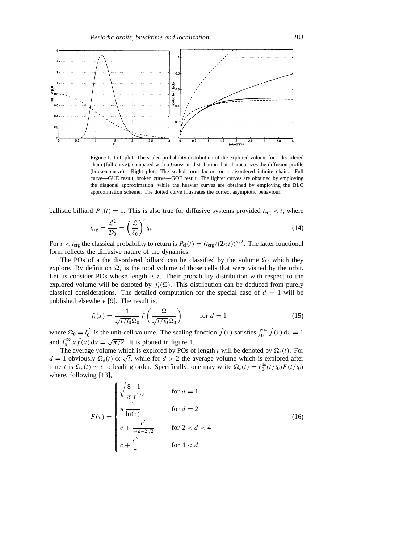

**Figure 1.** Left plot: The scaled probability distribution of the explored volume for a disordered chain (full curve), compared with a Gaussian distribution that characterizes the diffusion profile (broken curve). Right plot: The scaled form factor for a disordered infinite chain. Full curve—GUE result, broken curve—GOE result. The lighter curves are obtained by employing the diagonal approximation, while the heavier curves are obtained by employing the BLC approximation scheme. The dotted curve illustrates the correct asymptotic behaviour.

ballistic billiard  $P_{\text{cl}}(t) = 1$ . This is also true for diffusive systems provided  $t_{\text{erg}} < t$ , where

$$
t_{\rm erg} = \frac{\mathcal{L}^2}{\mathcal{D}_0} = \left(\frac{\mathcal{L}}{\ell_0}\right)^2 t_0.
$$
 (14)

For  $t < t_{\text{erg}}$  the classical probability to return is  $P_{\text{cl}}(t) = (t_{\text{erg}}/(2\pi t))^{d/2}$ . The latter functional form reflects the diffusive nature of the dynamics.

The POs of a the disordered billiard can be classified by the volume  $\Omega_i$  which they explore. By definition  $\Omega_i$  is the total volume of those cells that were visited by the orbit. Let us consider POs whose length is *t*. Their probability distribution with respect to the explored volume will be denoted by  $f_t(\Omega)$ . This distribution can be deduced from purely classical considerations. The detailed computation for the special case of  $d = 1$  will be published elsewhere [9]. The result is,

$$
f_t(x) = \frac{1}{\sqrt{t/t_0}\Omega_0} \hat{f}\left(\frac{\Omega}{\sqrt{t/t_0}\Omega_0}\right) \qquad \text{for } d = 1
$$
 (15)

where  $\Omega_0 = l_0^{d_0}$  is the unit-cell volume. The scaling function  $\hat{f}(x)$  satisfies  $\int_0^\infty \hat{f}(x) dx = 1$ and  $\int_0^\infty x \hat{f}(x) dx = \sqrt{\pi/2}$ . It is plotted in figure 1.

The average volume which is explored by POs of length *t* will be denoted by  $\Omega_e(t)$ . For *d* = 1 obviously  $\Omega_e(t) \propto \sqrt{t}$ , while for *d* > 2 the average volume which is explored after time *t* is  $\Omega_e(t) \sim t$  to leading order. Specifically, one may write  $\Omega_e(t) = \ell_0^{d_0}(t/t_0)F(t/t_0)$ where, following [13],

$$
F(\tau) = \begin{cases} \sqrt{\frac{8}{\pi}} \frac{1}{\tau^{1/2}} & \text{for } d = 1\\ \pi \frac{1}{\ln(\tau)} & \text{for } d = 2\\ c + \frac{c'}{\tau^{(d-2)/2}} & \text{for } 2 < d < 4\\ c + \frac{c''}{\tau} & \text{for } 4 < d. \end{cases} \tag{16}
$$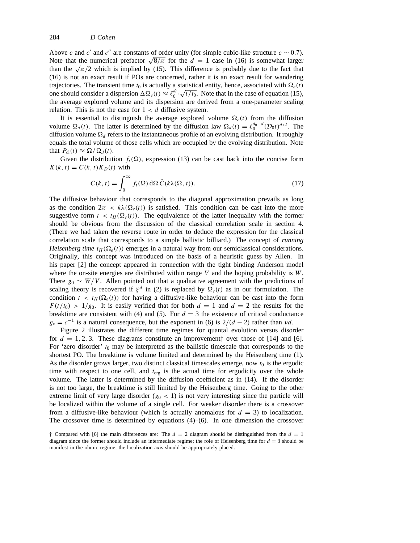Above *c* and *c'* and *c''* are constants of order unity (for simple cubic-like structure  $c \sim 0.7$ ). Note that the numerical prefactor  $\sqrt{8/\pi}$  for the  $d = 1$  case in (16) is somewhat larger than the  $\sqrt{\pi/2}$  which is implied by (15). This difference is probably due to the fact that (16) is not an exact result if POs are concerned, rather it is an exact result for wandering trajectories. The transient time  $t_0$  is actually a statistical entity, hence, associated with  $\Omega_e(t)$ refused that in the tankent unit  $t_0$  is actually a statistical entity, hence, associated with  $\Omega_e(t)$  one should consider a dispersion  $\Delta \Omega_e(t) \approx \ell_0^{d_0} \cdot \sqrt{t/t_0}$ . Note that in the case of equation (15), the average explored volume and its dispersion are derived from a one-parameter scaling relation. This is not the case for  $1 < d$  diffusive system.

It is essential to distinguish the average explored volume  $\Omega_e(t)$  from the diffusion volume  $\Omega_d(t)$ . The latter is determined by the diffusion law  $\Omega_d(t) = \ell_0^{d_0-d} (\mathcal{D}_0 t)^{d/2}$ . The diffusion volume  $\Omega_d$  refers to the instantaneous profile of an evolving distribution. It roughly equals the total volume of those cells which are occupied by the evolving distribution. Note that  $P_{\text{cl}}(t) \approx \Omega / \Omega_d(t)$ .

Given the distribution  $f_t(\Omega)$ , expression (13) can be cast back into the concise form  $K(k, t) = C(k, t)K_D(t)$  with

$$
C(k, t) = \int_0^\infty f_t(\Omega) d\Omega \,\hat{C}(k\lambda(\Omega, t)).
$$
\n(17)

The diffusive behaviour that corresponds to the diagonal approximation prevails as long as the condition  $2\pi < k\lambda(\Omega_e(t))$  is satisfied. This condition can be cast into the more suggestive form  $t < t_H(\Omega_e(t))$ . The equivalence of the latter inequality with the former should be obvious from the discussion of the classical correlation scale in section 4. (There we had taken the reverse route in order to deduce the expression for the classical correlation scale that corresponds to a simple ballistic billiard.) The concept of *running Heisenberg time*  $t_H(\Omega_e(t))$  emerges in a natural way from our semiclassical considerations. Originally, this concept was introduced on the basis of a heuristic guess by Allen. In his paper [2] the concept appeared in connection with the tight binding Anderson model where the on-site energies are distributed within range *V* and the hoping probability is *W*. There  $g_0 \sim W/V$ . Allen pointed out that a qualitative agreement with the predictions of scaling theory is recovered if  $\xi^d$  in (2) is replaced by  $\Omega_e(t)$  as in our formulation. The condition  $t < t_H(\Omega_e(t))$  for having a diffusive-like behaviour can be cast into the form  $F(t/t_0) > 1/g_0$ . It is easily verified that for both  $d = 1$  and  $d = 2$  the results for the breaktime are consistent with (4) and (5). For  $d = 3$  the existence of critical conductance  $g_c = c^{-1}$  is a natural consequence, but the exponent in (6) is  $2/(d-2)$  rather than *vd*.

Figure 2 illustrates the different time regimes for quantal evolution versus disorder for  $d = 1, 2, 3$ . These diagrams constitute an improvement<sup>†</sup> over those of [14] and [6]. For 'zero disorder' *t*<sup>0</sup> may be interpreted as the ballistic timescale that corresponds to the shortest PO. The breaktime is volume limited and determined by the Heisenberg time (1). As the disorder grows larger, two distinct classical timescales emerge, now  $t_0$  is the ergodic time with respect to one cell, and  $t_{\text{erg}}$  is the actual time for ergodicity over the whole volume. The latter is determined by the diffusion coefficient as in (14). If the disorder is not too large, the breaktime is still limited by the Heisenberg time. Going to the other extreme limit of very large disorder  $(g_0 < 1)$  is not very interesting since the particle will be localized within the volume of a single cell. For weaker disorder there is a crossover from a diffusive-like behaviour (which is actually anomalous for  $d = 3$ ) to localization. The crossover time is determined by equations  $(4)$ – $(6)$ . In one dimension the crossover

*<sup>†</sup>* Compared with [6] the main differences are: The *d* = 2 diagram should be distinguished from the *d* = 1 diagram since the former should include an intermediate regime; the role of Heisenberg time for  $d = 3$  should be manifest in the ohmic regime; the localization axis should be appropriately placed.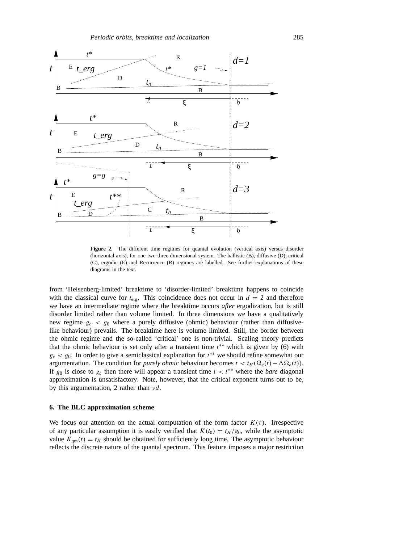

Figure 2. The different time regimes for quantal evolution (vertical axis) versus disorder (horizontal axis), for one-two-three dimensional system. The ballistic (B), diffusive (D), critical (C), ergodic (E) and Recurrence (R) regimes are labelled. See further explanations of these diagrams in the text.

from 'Heisenberg-limited' breaktime to 'disorder-limited' breaktime happens to coincide with the classical curve for  $t_{\text{erg}}$ . This coincidence does not occur in  $d = 2$  and therefore we have an intermediate regime where the breaktime occurs *after* ergodization, but is still disorder limited rather than volume limited. In three dimensions we have a qualitatively new regime  $g_c < g_0$  where a purely diffusive (ohmic) behaviour (rather than diffusivelike behaviour) prevails. The breaktime here is volume limited. Still, the border between the ohmic regime and the so-called 'critical' one is non-trivial. Scaling theory predicts that the ohmic behaviour is set only after a transient time *t*∗∗ which is given by (6) with *gc < g*0. In order to give a semiclassical explanation for *t*∗∗ we should refine somewhat our argumentation. The condition for *purely ohmic* behaviour becomes  $t < t_H(\Omega_e(t) - \Delta \Omega_e(t))$ . If  $g_0$  is close to  $g_c$  then there will appear a transient time  $t < t^{**}$  where the *bare* diagonal approximation is unsatisfactory. Note, however, that the critical exponent turns out to be, by this argumentation, 2 rather than *νd*.

## **6. The BLC approximation scheme**

We focus our attention on the actual computation of the form factor  $K(\tau)$ . Irrespective of any particular assumption it is easily verified that  $K(t_0) = t_H/g_0$ , while the asymptotic value  $K_{\text{am}}(t) = t_H$  should be obtained for sufficiently long time. The asymptotic behaviour reflects the discrete nature of the quantal spectrum. This feature imposes a major restriction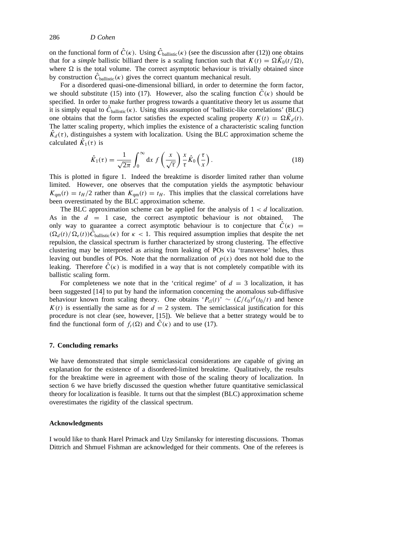on the functional form of  $\hat{C}(\kappa)$ . Using  $\hat{C}_{\text{ballistic}}(\kappa)$  (see the discussion after (12)) one obtains that for a *simple* ballistic billiard there is a scaling function such that  $K(t) = \Omega \hat{K}_0(t/\Omega)$ , where  $\Omega$  is the total volume. The correct asymptotic behaviour is trivially obtained since by construction  $\hat{C}_{\text{ballistic}}(\kappa)$  gives the correct quantum mechanical result.

For a disordered quasi-one-dimensional billiard, in order to determine the form factor, we should substitute (15) into (17). However, also the scaling function  $\hat{C}(\kappa)$  should be specified. In order to make further progress towards a quantitative theory let us assume that it is simply equal to  $\hat{C}_{\text{ballistic}}(\kappa)$ . Using this assumption of 'ballistic-like correlations' (BLC) one obtains that the form factor satisfies the expected scaling property  $K(t) = \Omega \hat{K}_d(t)$ . The latter scaling property, which implies the existence of a characteristic scaling function  $K_d(\tau)$ , distinguishes a system with localization. Using the BLC approximation scheme the calculated  $\hat{K}_1(\tau)$  is

$$
\hat{K}_1(\tau) = \frac{1}{\sqrt{2\pi}} \int_0^\infty dx \, f\left(\frac{x}{\sqrt{\tau}}\right) \frac{x}{\tau} \hat{K}_0\left(\frac{\tau}{x}\right). \tag{18}
$$

This is plotted in figure 1. Indeed the breaktime is disorder limited rather than volume limited. However, one observes that the computation yields the asymptotic behaviour  $K_{qm}(t) = t_H/2$  rather than  $K_{qm}(t) = t_H$ . This implies that the classical correlations have been overestimated by the BLC approximation scheme.

The BLC approximation scheme can be applied for the analysis of  $1 < d$  localization. As in the *d* = 1 case, the correct asymptotic behaviour is *not* obtained. The only way to guarantee a correct asymptotic behaviour is to conjecture that  $\hat{C}(\kappa)$  =  $(\Omega_d(t)/\Omega_e(t))\hat{C}_{\text{ballistic}}(k)$  for  $\kappa < 1$ . This required assumption implies that despite the net repulsion, the classical spectrum is further characterized by strong clustering. The effective clustering may be interpreted as arising from leaking of POs via 'transverse' holes, thus leaving out bundles of POs. Note that the normalization of  $p(x)$  does not hold due to the leaking. Therefore  $\hat{C}(\kappa)$  is modified in a way that is not completely compatible with its ballistic scaling form.

For completeness we note that in the 'critical regime' of  $d = 3$  localization, it has been suggested [14] to put by hand the information concerning the anomalous sub-diffusive behaviour known from scaling theory. One obtains ' $P_{cl}(t) \sim (\mathcal{L}/\ell_0)^d (t_0/t)$  and hence  $K(t)$  is essentially the same as for  $d = 2$  system. The semiclassical justification for this procedure is not clear (see, however, [15]). We believe that a better strategy would be to find the functional form of  $f_t(\Omega)$  and  $\hat{C}(\kappa)$  and to use (17).

#### **7. Concluding remarks**

We have demonstrated that simple semiclassical considerations are capable of giving an explanation for the existence of a disordered-limited breaktime. Qualitatively, the results for the breaktime were in agreement with those of the scaling theory of localization. In section 6 we have briefly discussed the question whether future quantitative semiclassical theory for localization is feasible. It turns out that the simplest (BLC) approximation scheme overestimates the rigidity of the classical spectrum.

# **Acknowledgments**

I would like to thank Harel Primack and Uzy Smilansky for interesting discussions. Thomas Dittrich and Shmuel Fishman are acknowledged for their comments. One of the referees is